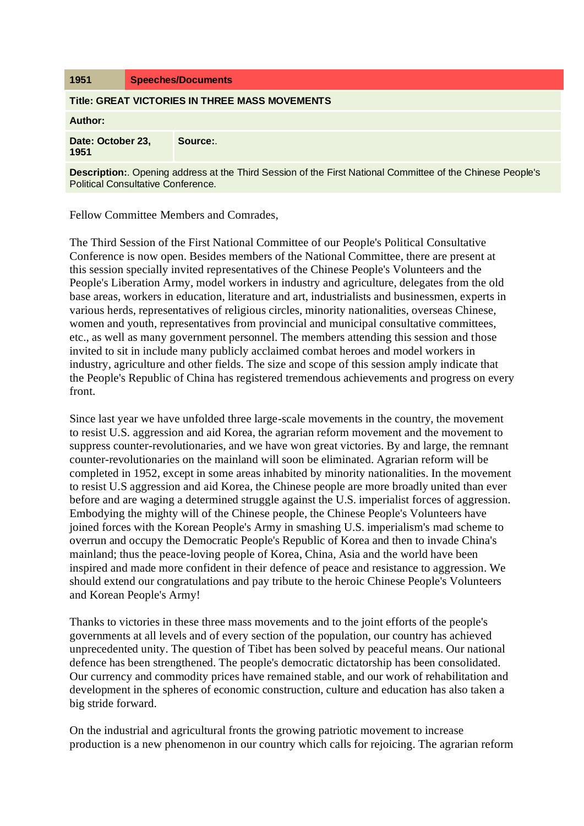| 1951 | <b>Speeches/Documents</b> |
|------|---------------------------|
|      |                           |

## **Title: GREAT VICTORIES IN THREE MASS MOVEMENTS**

**Author:** 

**Date: October 23, 1951 Source:**.

**Description:**. Opening address at the Third Session of the First National Committee of the Chinese People's Political Consultative Conference.

Fellow Committee Members and Comrades,

The Third Session of the First National Committee of our People's Political Consultative Conference is now open. Besides members of the National Committee, there are present at this session specially invited representatives of the Chinese People's Volunteers and the People's Liberation Army, model workers in industry and agriculture, delegates from the old base areas, workers in education, literature and art, industrialists and businessmen, experts in various herds, representatives of religious circles, minority nationalities, overseas Chinese, women and youth, representatives from provincial and municipal consultative committees, etc., as well as many government personnel. The members attending this session and those invited to sit in include many publicly acclaimed combat heroes and model workers in industry, agriculture and other fields. The size and scope of this session amply indicate that the People's Republic of China has registered tremendous achievements and progress on every front.

Since last year we have unfolded three large-scale movements in the country, the movement to resist U.S. aggression and aid Korea, the agrarian reform movement and the movement to suppress counter-revolutionaries, and we have won great victories. By and large, the remnant counter-revolutionaries on the mainland will soon be eliminated. Agrarian reform will be completed in 1952, except in some areas inhabited by minority nationalities. In the movement to resist U.S aggression and aid Korea, the Chinese people are more broadly united than ever before and are waging a determined struggle against the U.S. imperialist forces of aggression. Embodying the mighty will of the Chinese people, the Chinese People's Volunteers have joined forces with the Korean People's Army in smashing U.S. imperialism's mad scheme to overrun and occupy the Democratic People's Republic of Korea and then to invade China's mainland; thus the peace-loving people of Korea, China, Asia and the world have been inspired and made more confident in their defence of peace and resistance to aggression. We should extend our congratulations and pay tribute to the heroic Chinese People's Volunteers and Korean People's Army!

Thanks to victories in these three mass movements and to the joint efforts of the people's governments at all levels and of every section of the population, our country has achieved unprecedented unity. The question of Tibet has been solved by peaceful means. Our national defence has been strengthened. The people's democratic dictatorship has been consolidated. Our currency and commodity prices have remained stable, and our work of rehabilitation and development in the spheres of economic construction, culture and education has also taken a big stride forward.

On the industrial and agricultural fronts the growing patriotic movement to increase production is a new phenomenon in our country which calls for rejoicing. The agrarian reform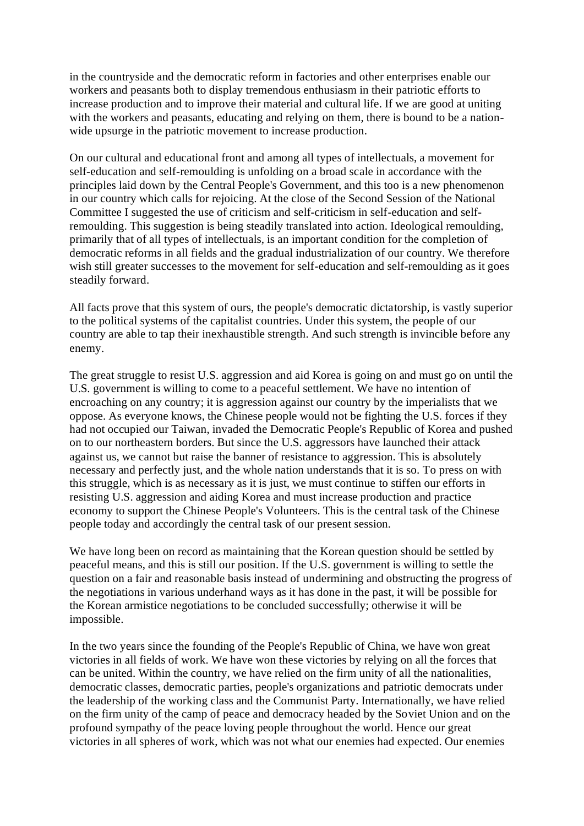in the countryside and the democratic reform in factories and other enterprises enable our workers and peasants both to display tremendous enthusiasm in their patriotic efforts to increase production and to improve their material and cultural life. If we are good at uniting with the workers and peasants, educating and relying on them, there is bound to be a nationwide upsurge in the patriotic movement to increase production.

On our cultural and educational front and among all types of intellectuals, a movement for self-education and self-remoulding is unfolding on a broad scale in accordance with the principles laid down by the Central People's Government, and this too is a new phenomenon in our country which calls for rejoicing. At the close of the Second Session of the National Committee I suggested the use of criticism and self-criticism in self-education and selfremoulding. This suggestion is being steadily translated into action. Ideological remoulding, primarily that of all types of intellectuals, is an important condition for the completion of democratic reforms in all fields and the gradual industrialization of our country. We therefore wish still greater successes to the movement for self-education and self-remoulding as it goes steadily forward.

All facts prove that this system of ours, the people's democratic dictatorship, is vastly superior to the political systems of the capitalist countries. Under this system, the people of our country are able to tap their inexhaustible strength. And such strength is invincible before any enemy.

The great struggle to resist U.S. aggression and aid Korea is going on and must go on until the U.S. government is willing to come to a peaceful settlement. We have no intention of encroaching on any country; it is aggression against our country by the imperialists that we oppose. As everyone knows, the Chinese people would not be fighting the U.S. forces if they had not occupied our Taiwan, invaded the Democratic People's Republic of Korea and pushed on to our northeastern borders. But since the U.S. aggressors have launched their attack against us, we cannot but raise the banner of resistance to aggression. This is absolutely necessary and perfectly just, and the whole nation understands that it is so. To press on with this struggle, which is as necessary as it is just, we must continue to stiffen our efforts in resisting U.S. aggression and aiding Korea and must increase production and practice economy to support the Chinese People's Volunteers. This is the central task of the Chinese people today and accordingly the central task of our present session.

We have long been on record as maintaining that the Korean question should be settled by peaceful means, and this is still our position. If the U.S. government is willing to settle the question on a fair and reasonable basis instead of undermining and obstructing the progress of the negotiations in various underhand ways as it has done in the past, it will be possible for the Korean armistice negotiations to be concluded successfully; otherwise it will be impossible.

In the two years since the founding of the People's Republic of China, we have won great victories in all fields of work. We have won these victories by relying on all the forces that can be united. Within the country, we have relied on the firm unity of all the nationalities, democratic classes, democratic parties, people's organizations and patriotic democrats under the leadership of the working class and the Communist Party. Internationally, we have relied on the firm unity of the camp of peace and democracy headed by the Soviet Union and on the profound sympathy of the peace loving people throughout the world. Hence our great victories in all spheres of work, which was not what our enemies had expected. Our enemies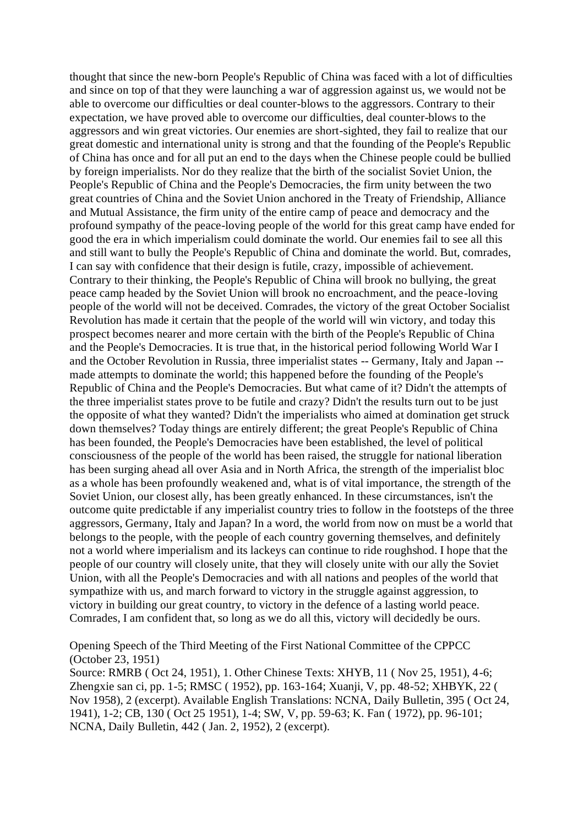thought that since the new-born People's Republic of China was faced with a lot of difficulties and since on top of that they were launching a war of aggression against us, we would not be able to overcome our difficulties or deal counter-blows to the aggressors. Contrary to their expectation, we have proved able to overcome our difficulties, deal counter-blows to the aggressors and win great victories. Our enemies are short-sighted, they fail to realize that our great domestic and international unity is strong and that the founding of the People's Republic of China has once and for all put an end to the days when the Chinese people could be bullied by foreign imperialists. Nor do they realize that the birth of the socialist Soviet Union, the People's Republic of China and the People's Democracies, the firm unity between the two great countries of China and the Soviet Union anchored in the Treaty of Friendship, Alliance and Mutual Assistance, the firm unity of the entire camp of peace and democracy and the profound sympathy of the peace-loving people of the world for this great camp have ended for good the era in which imperialism could dominate the world. Our enemies fail to see all this and still want to bully the People's Republic of China and dominate the world. But, comrades, I can say with confidence that their design is futile, crazy, impossible of achievement. Contrary to their thinking, the People's Republic of China will brook no bullying, the great peace camp headed by the Soviet Union will brook no encroachment, and the peace-loving people of the world will not be deceived. Comrades, the victory of the great October Socialist Revolution has made it certain that the people of the world will win victory, and today this prospect becomes nearer and more certain with the birth of the People's Republic of China and the People's Democracies. It is true that, in the historical period following World War I and the October Revolution in Russia, three imperialist states -- Germany, Italy and Japan - made attempts to dominate the world; this happened before the founding of the People's Republic of China and the People's Democracies. But what came of it? Didn't the attempts of the three imperialist states prove to be futile and crazy? Didn't the results turn out to be just the opposite of what they wanted? Didn't the imperialists who aimed at domination get struck down themselves? Today things are entirely different; the great People's Republic of China has been founded, the People's Democracies have been established, the level of political consciousness of the people of the world has been raised, the struggle for national liberation has been surging ahead all over Asia and in North Africa, the strength of the imperialist bloc as a whole has been profoundly weakened and, what is of vital importance, the strength of the Soviet Union, our closest ally, has been greatly enhanced. In these circumstances, isn't the outcome quite predictable if any imperialist country tries to follow in the footsteps of the three aggressors, Germany, Italy and Japan? In a word, the world from now on must be a world that belongs to the people, with the people of each country governing themselves, and definitely not a world where imperialism and its lackeys can continue to ride roughshod. I hope that the people of our country will closely unite, that they will closely unite with our ally the Soviet Union, with all the People's Democracies and with all nations and peoples of the world that sympathize with us, and march forward to victory in the struggle against aggression, to victory in building our great country, to victory in the defence of a lasting world peace. Comrades, I am confident that, so long as we do all this, victory will decidedly be ours.

Opening Speech of the Third Meeting of the First National Committee of the CPPCC (October 23, 1951)

Source: RMRB ( Oct 24, 1951), 1. Other Chinese Texts: XHYB, 11 ( Nov 25, 1951), 4-6; Zhengxie san ci, pp. 1-5; RMSC ( 1952), pp. 163-164; Xuanji, V, pp. 48-52; XHBYK, 22 ( Nov 1958), 2 (excerpt). Available English Translations: NCNA, Daily Bulletin, 395 ( Oct 24, 1941), 1-2; CB, 130 ( Oct 25 1951), 1-4; SW, V, pp. 59-63; K. Fan ( 1972), pp. 96-101; NCNA, Daily Bulletin, 442 ( Jan. 2, 1952), 2 (excerpt).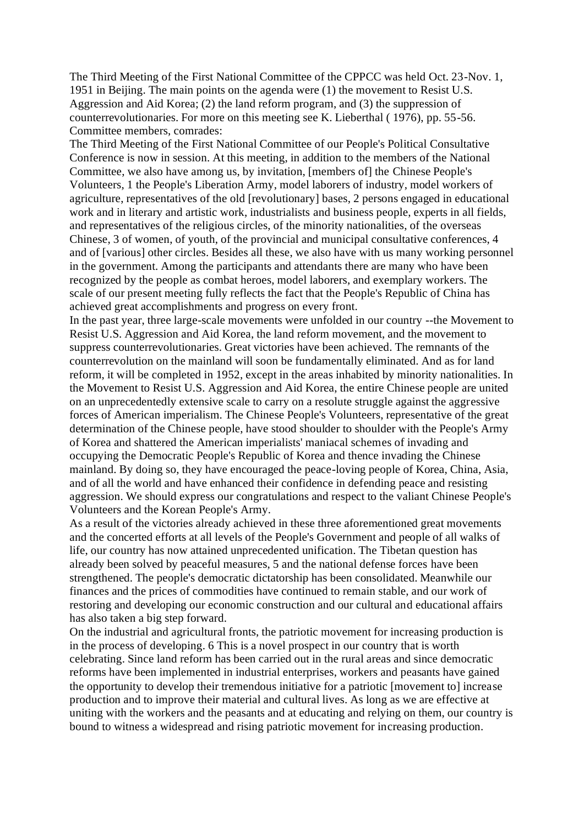The Third Meeting of the First National Committee of the CPPCC was held Oct. 23-Nov. 1, 1951 in Beijing. The main points on the agenda were (1) the movement to Resist U.S. Aggression and Aid Korea; (2) the land reform program, and (3) the suppression of counterrevolutionaries. For more on this meeting see K. Lieberthal ( 1976), pp. 55-56. Committee members, comrades:

The Third Meeting of the First National Committee of our People's Political Consultative Conference is now in session. At this meeting, in addition to the members of the National Committee, we also have among us, by invitation, [members of] the Chinese People's Volunteers, 1 the People's Liberation Army, model laborers of industry, model workers of agriculture, representatives of the old [revolutionary] bases, 2 persons engaged in educational work and in literary and artistic work, industrialists and business people, experts in all fields, and representatives of the religious circles, of the minority nationalities, of the overseas Chinese, 3 of women, of youth, of the provincial and municipal consultative conferences, 4 and of [various] other circles. Besides all these, we also have with us many working personnel in the government. Among the participants and attendants there are many who have been recognized by the people as combat heroes, model laborers, and exemplary workers. The scale of our present meeting fully reflects the fact that the People's Republic of China has achieved great accomplishments and progress on every front.

In the past year, three large-scale movements were unfolded in our country --the Movement to Resist U.S. Aggression and Aid Korea, the land reform movement, and the movement to suppress counterrevolutionaries. Great victories have been achieved. The remnants of the counterrevolution on the mainland will soon be fundamentally eliminated. And as for land reform, it will be completed in 1952, except in the areas inhabited by minority nationalities. In the Movement to Resist U.S. Aggression and Aid Korea, the entire Chinese people are united on an unprecedentedly extensive scale to carry on a resolute struggle against the aggressive forces of American imperialism. The Chinese People's Volunteers, representative of the great determination of the Chinese people, have stood shoulder to shoulder with the People's Army of Korea and shattered the American imperialists' maniacal schemes of invading and occupying the Democratic People's Republic of Korea and thence invading the Chinese mainland. By doing so, they have encouraged the peace-loving people of Korea, China, Asia, and of all the world and have enhanced their confidence in defending peace and resisting aggression. We should express our congratulations and respect to the valiant Chinese People's Volunteers and the Korean People's Army.

As a result of the victories already achieved in these three aforementioned great movements and the concerted efforts at all levels of the People's Government and people of all walks of life, our country has now attained unprecedented unification. The Tibetan question has already been solved by peaceful measures, 5 and the national defense forces have been strengthened. The people's democratic dictatorship has been consolidated. Meanwhile our finances and the prices of commodities have continued to remain stable, and our work of restoring and developing our economic construction and our cultural and educational affairs has also taken a big step forward.

On the industrial and agricultural fronts, the patriotic movement for increasing production is in the process of developing. 6 This is a novel prospect in our country that is worth celebrating. Since land reform has been carried out in the rural areas and since democratic reforms have been implemented in industrial enterprises, workers and peasants have gained the opportunity to develop their tremendous initiative for a patriotic [movement to] increase production and to improve their material and cultural lives. As long as we are effective at uniting with the workers and the peasants and at educating and relying on them, our country is bound to witness a widespread and rising patriotic movement for increasing production.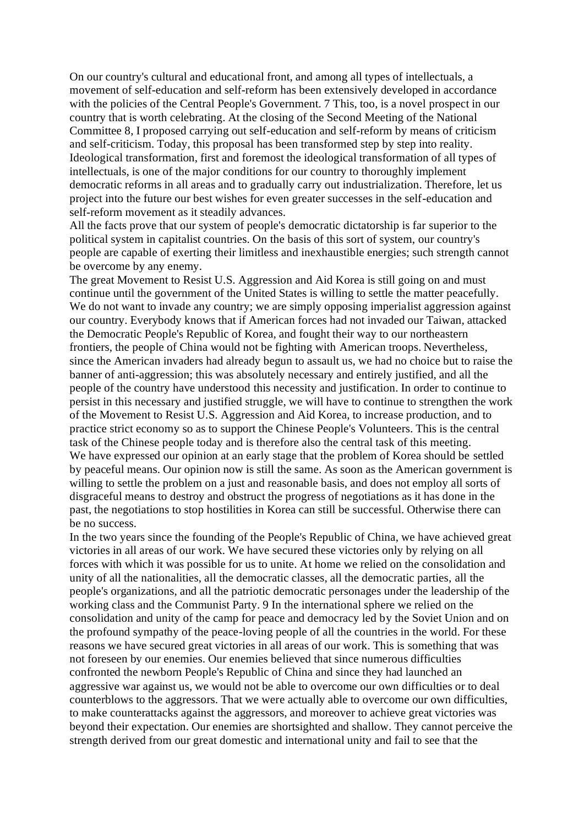On our country's cultural and educational front, and among all types of intellectuals, a movement of self-education and self-reform has been extensively developed in accordance with the policies of the Central People's Government. 7 This, too, is a novel prospect in our country that is worth celebrating. At the closing of the Second Meeting of the National Committee 8, I proposed carrying out self-education and self-reform by means of criticism and self-criticism. Today, this proposal has been transformed step by step into reality. Ideological transformation, first and foremost the ideological transformation of all types of intellectuals, is one of the major conditions for our country to thoroughly implement democratic reforms in all areas and to gradually carry out industrialization. Therefore, let us project into the future our best wishes for even greater successes in the self-education and self-reform movement as it steadily advances.

All the facts prove that our system of people's democratic dictatorship is far superior to the political system in capitalist countries. On the basis of this sort of system, our country's people are capable of exerting their limitless and inexhaustible energies; such strength cannot be overcome by any enemy.

The great Movement to Resist U.S. Aggression and Aid Korea is still going on and must continue until the government of the United States is willing to settle the matter peacefully. We do not want to invade any country; we are simply opposing imperialist aggression against our country. Everybody knows that if American forces had not invaded our Taiwan, attacked the Democratic People's Republic of Korea, and fought their way to our northeastern frontiers, the people of China would not be fighting with American troops. Nevertheless, since the American invaders had already begun to assault us, we had no choice but to raise the banner of anti-aggression; this was absolutely necessary and entirely justified, and all the people of the country have understood this necessity and justification. In order to continue to persist in this necessary and justified struggle, we will have to continue to strengthen the work of the Movement to Resist U.S. Aggression and Aid Korea, to increase production, and to practice strict economy so as to support the Chinese People's Volunteers. This is the central task of the Chinese people today and is therefore also the central task of this meeting. We have expressed our opinion at an early stage that the problem of Korea should be settled by peaceful means. Our opinion now is still the same. As soon as the American government is willing to settle the problem on a just and reasonable basis, and does not employ all sorts of disgraceful means to destroy and obstruct the progress of negotiations as it has done in the past, the negotiations to stop hostilities in Korea can still be successful. Otherwise there can be no success.

In the two years since the founding of the People's Republic of China, we have achieved great victories in all areas of our work. We have secured these victories only by relying on all forces with which it was possible for us to unite. At home we relied on the consolidation and unity of all the nationalities, all the democratic classes, all the democratic parties, all the people's organizations, and all the patriotic democratic personages under the leadership of the working class and the Communist Party. 9 In the international sphere we relied on the consolidation and unity of the camp for peace and democracy led by the Soviet Union and on the profound sympathy of the peace-loving people of all the countries in the world. For these reasons we have secured great victories in all areas of our work. This is something that was not foreseen by our enemies. Our enemies believed that since numerous difficulties confronted the newborn People's Republic of China and since they had launched an aggressive war against us, we would not be able to overcome our own difficulties or to deal counterblows to the aggressors. That we were actually able to overcome our own difficulties, to make counterattacks against the aggressors, and moreover to achieve great victories was beyond their expectation. Our enemies are shortsighted and shallow. They cannot perceive the strength derived from our great domestic and international unity and fail to see that the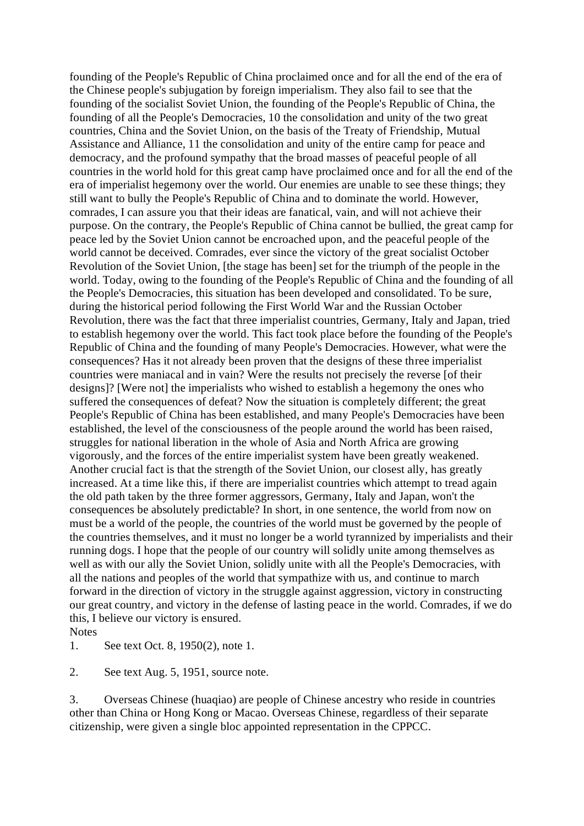founding of the People's Republic of China proclaimed once and for all the end of the era of the Chinese people's subjugation by foreign imperialism. They also fail to see that the founding of the socialist Soviet Union, the founding of the People's Republic of China, the founding of all the People's Democracies, 10 the consolidation and unity of the two great countries, China and the Soviet Union, on the basis of the Treaty of Friendship, Mutual Assistance and Alliance, 11 the consolidation and unity of the entire camp for peace and democracy, and the profound sympathy that the broad masses of peaceful people of all countries in the world hold for this great camp have proclaimed once and for all the end of the era of imperialist hegemony over the world. Our enemies are unable to see these things; they still want to bully the People's Republic of China and to dominate the world. However, comrades, I can assure you that their ideas are fanatical, vain, and will not achieve their purpose. On the contrary, the People's Republic of China cannot be bullied, the great camp for peace led by the Soviet Union cannot be encroached upon, and the peaceful people of the world cannot be deceived. Comrades, ever since the victory of the great socialist October Revolution of the Soviet Union, [the stage has been] set for the triumph of the people in the world. Today, owing to the founding of the People's Republic of China and the founding of all the People's Democracies, this situation has been developed and consolidated. To be sure, during the historical period following the First World War and the Russian October Revolution, there was the fact that three imperialist countries, Germany, Italy and Japan, tried to establish hegemony over the world. This fact took place before the founding of the People's Republic of China and the founding of many People's Democracies. However, what were the consequences? Has it not already been proven that the designs of these three imperialist countries were maniacal and in vain? Were the results not precisely the reverse [of their designs]? [Were not] the imperialists who wished to establish a hegemony the ones who suffered the consequences of defeat? Now the situation is completely different; the great People's Republic of China has been established, and many People's Democracies have been established, the level of the consciousness of the people around the world has been raised, struggles for national liberation in the whole of Asia and North Africa are growing vigorously, and the forces of the entire imperialist system have been greatly weakened. Another crucial fact is that the strength of the Soviet Union, our closest ally, has greatly increased. At a time like this, if there are imperialist countries which attempt to tread again the old path taken by the three former aggressors, Germany, Italy and Japan, won't the consequences be absolutely predictable? In short, in one sentence, the world from now on must be a world of the people, the countries of the world must be governed by the people of the countries themselves, and it must no longer be a world tyrannized by imperialists and their running dogs. I hope that the people of our country will solidly unite among themselves as well as with our ally the Soviet Union, solidly unite with all the People's Democracies, with all the nations and peoples of the world that sympathize with us, and continue to march forward in the direction of victory in the struggle against aggression, victory in constructing our great country, and victory in the defense of lasting peace in the world. Comrades, if we do this, I believe our victory is ensured. **Notes** 

1. See text Oct. 8, 1950(2), note 1.

2. See text Aug. 5, 1951, source note.

3. Overseas Chinese (huaqiao) are people of Chinese ancestry who reside in countries other than China or Hong Kong or Macao. Overseas Chinese, regardless of their separate citizenship, were given a single bloc appointed representation in the CPPCC.